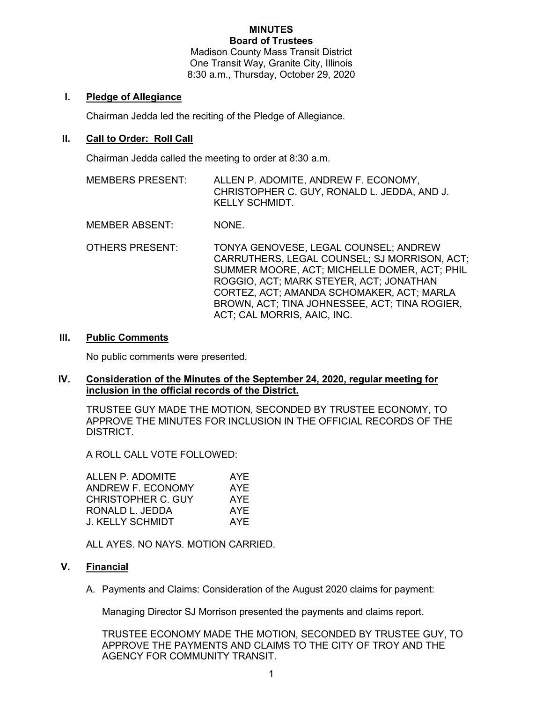#### **MINUTES Board of Trustees**

Madison County Mass Transit District One Transit Way, Granite City, Illinois 8:30 a.m., Thursday, October 29, 2020

# **I. Pledge of Allegiance**

Chairman Jedda led the reciting of the Pledge of Allegiance.

# **II. Call to Order: Roll Call**

Chairman Jedda called the meeting to order at 8:30 a.m.

MEMBERS PRESENT: ALLEN P. ADOMITE, ANDREW F. ECONOMY, CHRISTOPHER C. GUY, RONALD L. JEDDA, AND J. KELLY SCHMIDT.

MEMBER ABSENT: NONE.

OTHERS PRESENT: TONYA GENOVESE, LEGAL COUNSEL; ANDREW CARRUTHERS, LEGAL COUNSEL; SJ MORRISON, ACT; SUMMER MOORE, ACT; MICHELLE DOMER, ACT; PHIL ROGGIO, ACT; MARK STEYER, ACT; JONATHAN CORTEZ, ACT; AMANDA SCHOMAKER, ACT; MARLA BROWN, ACT; TINA JOHNESSEE, ACT; TINA ROGIER, ACT; CAL MORRIS, AAIC, INC.

### **III. Public Comments**

No public comments were presented.

### **IV. Consideration of the Minutes of the September 24, 2020, regular meeting for inclusion in the official records of the District.**

TRUSTEE GUY MADE THE MOTION, SECONDED BY TRUSTEE ECONOMY, TO APPROVE THE MINUTES FOR INCLUSION IN THE OFFICIAL RECORDS OF THE DISTRICT.

A ROLL CALL VOTE FOLLOWED:

| ALLEN P. ADOMITE          | AYE        |
|---------------------------|------------|
| ANDREW F. ECONOMY         | AYE        |
| <b>CHRISTOPHER C. GUY</b> | AYE        |
| RONALD L. JEDDA           | AYE        |
| J. KELLY SCHMIDT          | <b>AYE</b> |

ALL AYES. NO NAYS. MOTION CARRIED.

# **V. Financial**

A. Payments and Claims: Consideration of the August 2020 claims for payment:

Managing Director SJ Morrison presented the payments and claims report.

TRUSTEE ECONOMY MADE THE MOTION, SECONDED BY TRUSTEE GUY, TO APPROVE THE PAYMENTS AND CLAIMS TO THE CITY OF TROY AND THE AGENCY FOR COMMUNITY TRANSIT.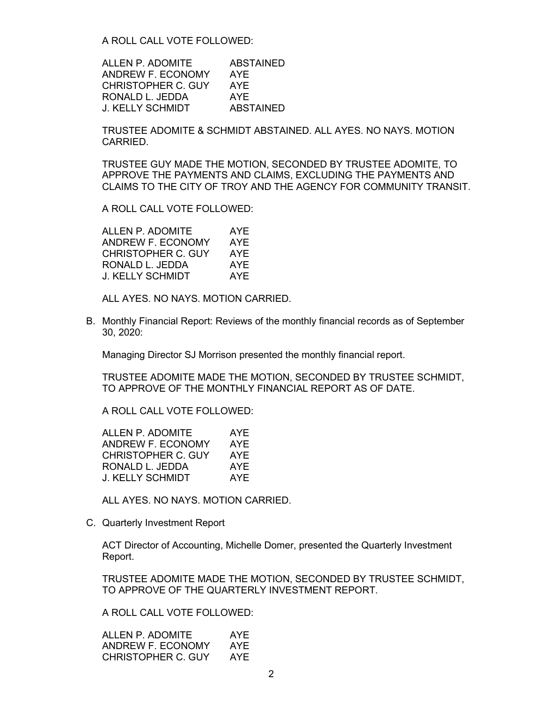A ROLL CALL VOTE FOLLOWED:

ALLEN P. ADOMITE ABSTAINED ANDREW F. ECONOMY AYE CHRISTOPHER C. GUY AYE RONALD L. JEDDA AYE J. KELLY SCHMIDT ABSTAINED

TRUSTEE ADOMITE & SCHMIDT ABSTAINED. ALL AYES. NO NAYS. MOTION CARRIED.

TRUSTEE GUY MADE THE MOTION, SECONDED BY TRUSTEE ADOMITE, TO APPROVE THE PAYMENTS AND CLAIMS, EXCLUDING THE PAYMENTS AND CLAIMS TO THE CITY OF TROY AND THE AGENCY FOR COMMUNITY TRANSIT.

A ROLL CALL VOTE FOLLOWED:

ALLEN P. ADOMITE AYE ANDREW F. ECONOMY AYE CHRISTOPHER C. GUY AYE RONALD L. JEDDA AYE J. KELLY SCHMIDT AYE

ALL AYES. NO NAYS. MOTION CARRIED.

B. Monthly Financial Report: Reviews of the monthly financial records as of September 30, 2020:

Managing Director SJ Morrison presented the monthly financial report.

TRUSTEE ADOMITE MADE THE MOTION, SECONDED BY TRUSTEE SCHMIDT, TO APPROVE OF THE MONTHLY FINANCIAL REPORT AS OF DATE.

A ROLL CALL VOTE FOLLOWED:

| ALLEN P. ADOMITE          | AYE        |
|---------------------------|------------|
| ANDREW F. ECONOMY         | AYE        |
| <b>CHRISTOPHER C. GUY</b> | AYE        |
| RONALD L. JEDDA           | <b>AYE</b> |
| J. KELLY SCHMIDT          | AYF        |
|                           |            |

ALL AYES. NO NAYS. MOTION CARRIED.

C. Quarterly Investment Report

ACT Director of Accounting, Michelle Domer, presented the Quarterly Investment Report.

TRUSTEE ADOMITE MADE THE MOTION, SECONDED BY TRUSTEE SCHMIDT, TO APPROVE OF THE QUARTERLY INVESTMENT REPORT.

A ROLL CALL VOTE FOLLOWED:

| ALLEN P. ADOMITE   | AYF |
|--------------------|-----|
| ANDREW F. ECONOMY  | AYF |
| CHRISTOPHER C. GUY | AYF |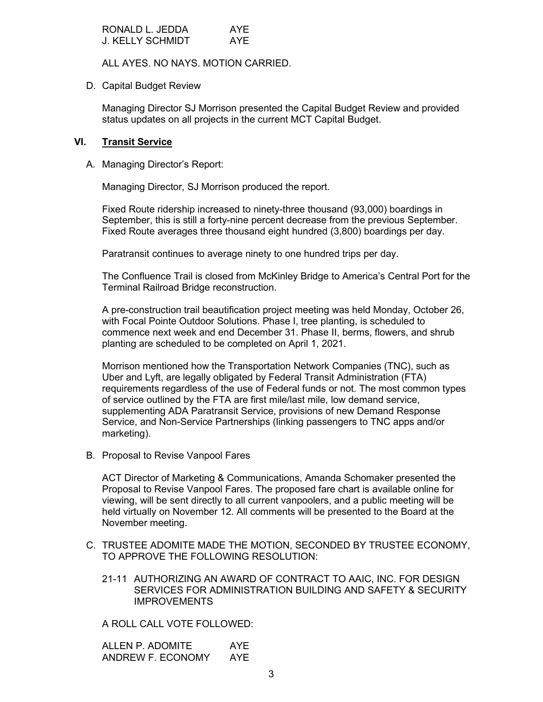| RONALD L. JEDDA  | AYE |
|------------------|-----|
| J. KELLY SCHMIDT | AYE |

ALL AYES. NO NAYS. MOTION CARRIED.

D. Capital Budget Review

Managing Director SJ Morrison presented the Capital Budget Review and provided status updates on all projects in the current MCT Capital Budget.

# **VI. Transit Service**

A. Managing Director's Report:

Managing Director, SJ Morrison produced the report.

Fixed Route ridership increased to ninety-three thousand (93,000) boardings in September, this is still a forty-nine percent decrease from the previous September. Fixed Route averages three thousand eight hundred (3,800) boardings per day.

Paratransit continues to average ninety to one hundred trips per day.

The Confluence Trail is closed from McKinley Bridge to America's Central Port for the Terminal Railroad Bridge reconstruction.

A pre-construction trail beautification project meeting was held Monday, October 26, with Focal Pointe Outdoor Solutions. Phase I, tree planting, is scheduled to commence next week and end December 31. Phase II, berms, flowers, and shrub planting are scheduled to be completed on April 1, 2021.

Morrison mentioned how the Transportation Network Companies (TNC), such as Uber and Lyft, are legally obligated by Federal Transit Administration (FTA) requirements regardless of the use of Federal funds or not. The most common types of service outlined by the FTA are first mile/last mile, low demand service, supplementing ADA Paratransit Service, provisions of new Demand Response Service, and Non-Service Partnerships (linking passengers to TNC apps and/or marketing).

B. Proposal to Revise Vanpool Fares

ACT Director of Marketing & Communications, Amanda Schomaker presented the Proposal to Revise Vanpool Fares. The proposed fare chart is available online for viewing, will be sent directly to all current vanpoolers, and a public meeting will be held virtually on November 12. All comments will be presented to the Board at the November meeting.

- C. TRUSTEE ADOMITE MADE THE MOTION, SECONDED BY TRUSTEE ECONOMY, TO APPROVE THE FOLLOWING RESOLUTION:
	- 21-11 AUTHORIZING AN AWARD OF CONTRACT TO AAIC, INC. FOR DESIGN SERVICES FOR ADMINISTRATION BUILDING AND SAFETY & SECURITY IMPROVEMENTS

A ROLL CALL VOTE FOLLOWED:

ALLEN P. ADOMITE AYE ANDREW F. ECONOMY AYE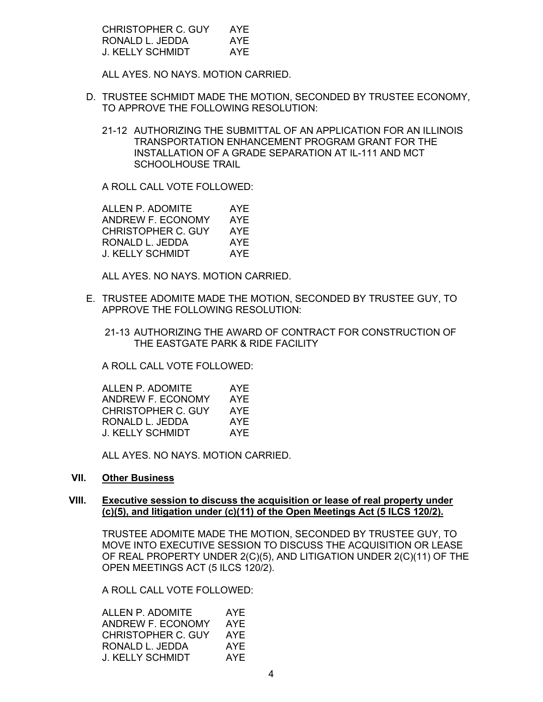| CHRISTOPHER C. GUY | AYE |
|--------------------|-----|
| RONALD L. JEDDA    | AYE |
| J. KELLY SCHMIDT   | AYE |

ALL AYES. NO NAYS. MOTION CARRIED.

- D. TRUSTEE SCHMIDT MADE THE MOTION, SECONDED BY TRUSTEE ECONOMY, TO APPROVE THE FOLLOWING RESOLUTION:
	- 21-12 AUTHORIZING THE SUBMITTAL OF AN APPLICATION FOR AN ILLINOIS TRANSPORTATION ENHANCEMENT PROGRAM GRANT FOR THE INSTALLATION OF A GRADE SEPARATION AT IL-111 AND MCT SCHOOLHOUSE TRAIL

A ROLL CALL VOTE FOLLOWED:

ALLEN P. ADOMITE AYE<br>ANDREW F. ECONOMY AYE ANDREW F. ECONOMY CHRISTOPHER C. GUY AYE RONALD L. JEDDA AYE J. KELLY SCHMIDT AYE

ALL AYES. NO NAYS. MOTION CARRIED.

E. TRUSTEE ADOMITE MADE THE MOTION, SECONDED BY TRUSTEE GUY, TO APPROVE THE FOLLOWING RESOLUTION:

21-13 AUTHORIZING THE AWARD OF CONTRACT FOR CONSTRUCTION OF THE EASTGATE PARK & RIDE FACILITY

A ROLL CALL VOTE FOLLOWED:

| ALLEN P. ADOMITE          | AYE |
|---------------------------|-----|
| ANDREW F. ECONOMY         | AYE |
| <b>CHRISTOPHER C. GUY</b> | AYF |
| RONALD L. JEDDA           | AYE |
| J. KELLY SCHMIDT          | AYF |

ALL AYES. NO NAYS. MOTION CARRIED.

### **VII. Other Business**

### **VIII. Executive session to discuss the acquisition or lease of real property under (c)(5), and litigation under (c)(11) of the Open Meetings Act (5 ILCS 120/2).**

TRUSTEE ADOMITE MADE THE MOTION, SECONDED BY TRUSTEE GUY, TO MOVE INTO EXECUTIVE SESSION TO DISCUSS THE ACQUISITION OR LEASE OF REAL PROPERTY UNDER 2(C)(5), AND LITIGATION UNDER 2(C)(11) OF THE OPEN MEETINGS ACT (5 ILCS 120/2).

A ROLL CALL VOTE FOLLOWED:

| ALLEN P. ADOMITE   | AYE |
|--------------------|-----|
| ANDREW F. ECONOMY  | AYE |
| CHRISTOPHER C. GUY | AYF |
| RONALD L. JEDDA    | AYE |
| J. KELLY SCHMIDT   | AYF |